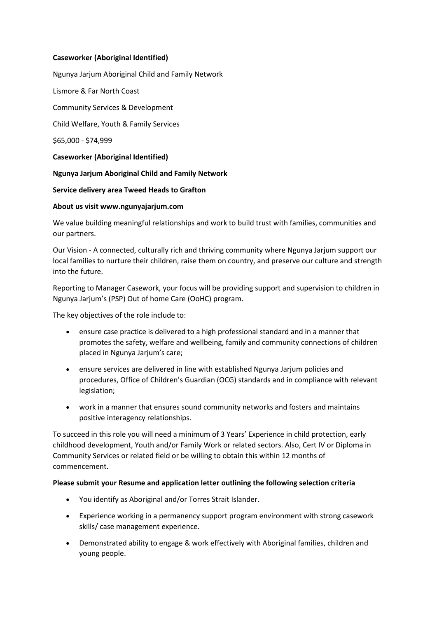## **Caseworker (Aboriginal Identified)**

Ngunya Jarjum Aboriginal Child and Family Network Lismore & Far North Coast Community Services & Development Child Welfare, Youth & Family Services \$65,000 - \$74,999 **Caseworker (Aboriginal Identified) Ngunya Jarjum Aboriginal Child and Family Network Service delivery area Tweed Heads to Grafton About us visit www.ngunyajarjum.com**

We value building meaningful relationships and work to build trust with families, communities and our partners.

Our Vision - A connected, culturally rich and thriving community where Ngunya Jarjum support our local families to nurture their children, raise them on country, and preserve our culture and strength into the future.

Reporting to Manager Casework, your focus will be providing support and supervision to children in Ngunya Jarjum's (PSP) Out of home Care (OoHC) program.

The key objectives of the role include to:

- ensure case practice is delivered to a high professional standard and in a manner that promotes the safety, welfare and wellbeing, family and community connections of children placed in Ngunya Jarjum's care;
- ensure services are delivered in line with established Ngunya Jarjum policies and procedures, Office of Children's Guardian (OCG) standards and in compliance with relevant legislation;
- work in a manner that ensures sound community networks and fosters and maintains positive interagency relationships.

To succeed in this role you will need a minimum of 3 Years' Experience in child protection, early childhood development, Youth and/or Family Work or related sectors. Also, Cert IV or Diploma in Community Services or related field or be willing to obtain this within 12 months of commencement.

## **Please submit your Resume and application letter outlining the following selection criteria**

- You identify as Aboriginal and/or Torres Strait Islander.
- Experience working in a permanency support program environment with strong casework skills/ case management experience.
- Demonstrated ability to engage & work effectively with Aboriginal families, children and young people.